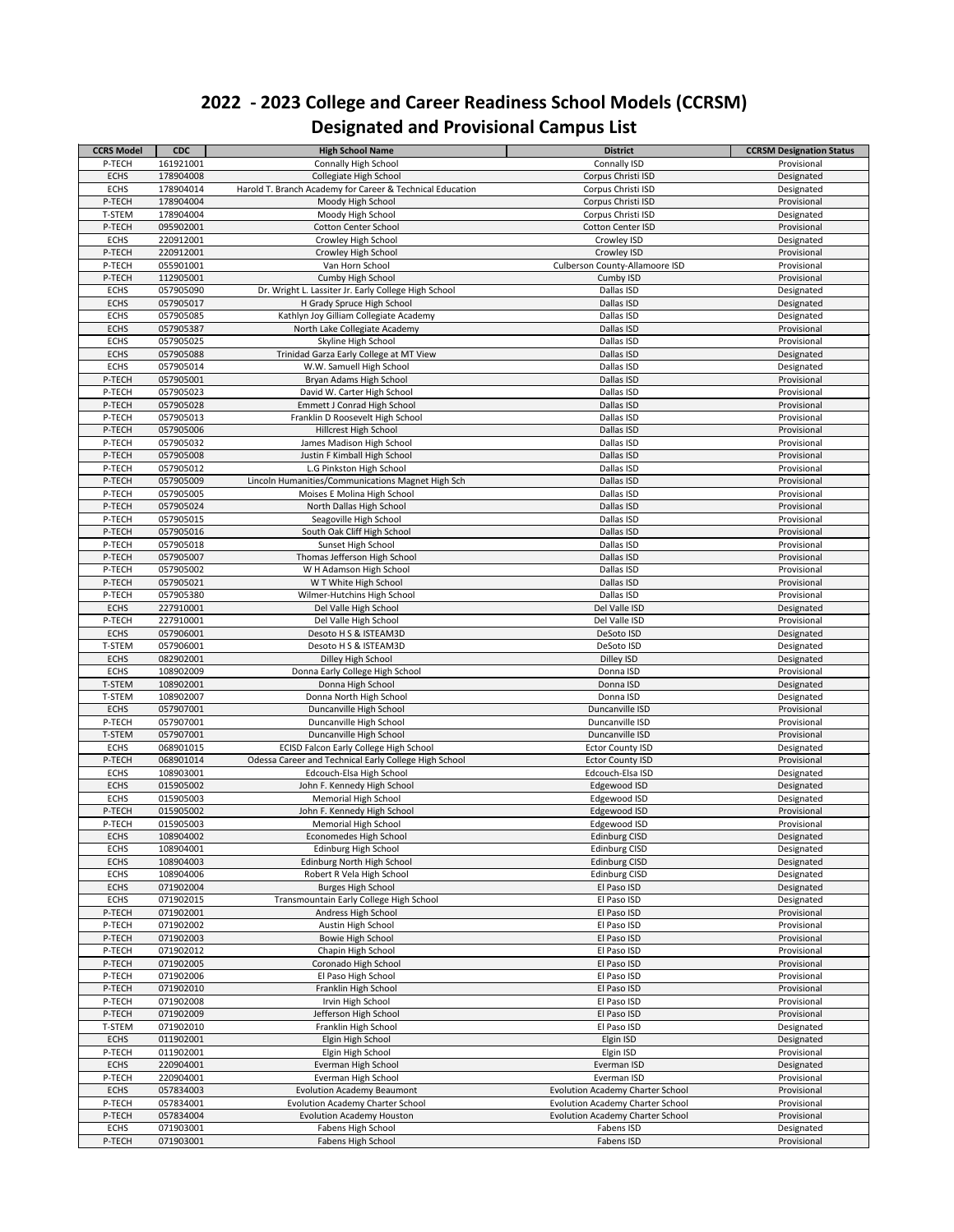| <b>CCRS Model</b>     | <b>CDC</b>             | <b>High School Name</b>                                   | <b>District</b>                         | <b>CCRSM Designation Status</b> |
|-----------------------|------------------------|-----------------------------------------------------------|-----------------------------------------|---------------------------------|
| P-TECH                | 161921001              | <b>Connally High School</b>                               | <b>Connally ISD</b>                     | Provisional                     |
| <b>ECHS</b>           | 178904008              | Collegiate High School                                    | Corpus Christi ISD                      | Designated                      |
| <b>ECHS</b>           | 178904014              | Harold T. Branch Academy for Career & Technical Education | Corpus Christi ISD                      | Designated                      |
| P-TECH                | 178904004              | Moody High School                                         | Corpus Christi ISD                      | Provisional                     |
| T-STEM                | 178904004              | Moody High School                                         | Corpus Christi ISD                      | Designated                      |
| P-TECH                | 095902001              | <b>Cotton Center School</b>                               | <b>Cotton Center ISD</b>                | Provisional                     |
| <b>ECHS</b>           | 220912001              | Crowley High School                                       | Crowley ISD                             | Designated                      |
| P-TECH                | 220912001              | Crowley High School                                       | Crowley ISD                             | Provisional                     |
| P-TECH                | 055901001              | Van Horn School                                           | <b>Culberson County-Allamoore ISD</b>   | Provisional                     |
| P-TECH                | 112905001              | <b>Cumby High School</b>                                  | Cumby ISD                               | Provisional                     |
| <b>ECHS</b>           | 057905090              | Dr. Wright L. Lassiter Jr. Early College High School      | Dallas ISD                              | Designated                      |
| <b>ECHS</b>           | 057905017              | H Grady Spruce High School                                | Dallas ISD                              | Designated                      |
| <b>ECHS</b>           | 057905085              | Kathlyn Joy Gilliam Collegiate Academy                    | Dallas ISD                              | Designated                      |
| <b>ECHS</b>           | 057905387              | North Lake Collegiate Academy                             | Dallas ISD                              | Provisional                     |
| <b>ECHS</b>           | 057905025              | Skyline High School                                       | Dallas ISD                              | Provisional                     |
| <b>ECHS</b>           | 057905088              | Trinidad Garza Early College at MT View                   | Dallas ISD                              | Designated                      |
| <b>ECHS</b>           | 057905014              | W.W. Samuell High School                                  | Dallas ISD                              | Designated                      |
| P-TECH                | 057905001              | Bryan Adams High School                                   | Dallas ISD                              | Provisional                     |
| P-TECH                | 057905023              | David W. Carter High School                               | Dallas ISD                              | Provisional                     |
| P-TECH                | 057905028              | <b>Emmett J Conrad High School</b>                        | Dallas ISD                              | Provisional                     |
| P-TECH                | 057905013              | Franklin D Roosevelt High School                          | Dallas ISD                              | Provisional                     |
| P-TECH                | 057905006              | Hillcrest High School                                     | Dallas ISD                              | Provisional                     |
| P-TECH                | 057905032              | James Madison High School                                 | Dallas ISD                              | Provisional                     |
| P-TECH                | 057905008              | Justin F Kimball High School                              | Dallas ISD                              | Provisional                     |
| P-TECH                | 057905012              | L.G Pinkston High School                                  | Dallas ISD                              | Provisional                     |
| P-TECH                | 057905009              | Lincoln Humanities/Communications Magnet High Sch         | Dallas ISD                              | Provisional                     |
| P-TECH                | 057905005              | Moises E Molina High School                               | Dallas ISD                              | Provisional                     |
| P-TECH                | 057905024              | North Dallas High School                                  | Dallas ISD                              | Provisional                     |
| P-TECH                | 057905015              | Seagoville High School                                    | Dallas ISD                              | Provisional                     |
| P-TECH                | 057905016              | South Oak Cliff High School                               | Dallas ISD                              | Provisional                     |
| P-TECH                | 057905018              | Sunset High School                                        | Dallas ISD                              | Provisional                     |
| P-TECH                | 057905007              | Thomas Jefferson High School                              | Dallas ISD                              | Provisional                     |
| P-TECH                | 057905002              | W H Adamson High School                                   | Dallas ISD                              | Provisional                     |
| P-TECH                | 057905021              | W T White High School                                     | Dallas ISD                              | Provisional                     |
| P-TECH                | 057905380              | Wilmer-Hutchins High School                               | Dallas ISD                              | Provisional                     |
| <b>ECHS</b>           | 227910001              | Del Valle High School                                     | Del Valle ISD                           | Designated                      |
| P-TECH                | 227910001<br>057906001 | Del Valle High School<br>Desoto H S & ISTEAM3D            | Del Valle ISD                           | Provisional                     |
| <b>ECHS</b><br>T-STEM | 057906001              | Desoto H S & ISTEAM3D                                     | DeSoto ISD<br>DeSoto ISD                | Designated                      |
| <b>ECHS</b>           | 082902001              | Dilley High School                                        | Dilley ISD                              | Designated<br>Designated        |
| <b>ECHS</b>           | 108902009              | Donna Early College High School                           | Donna ISD                               | Provisional                     |
| T-STEM                | 108902001              | Donna High School                                         | Donna ISD                               | Designated                      |
| T-STEM                | 108902007              | Donna North High School                                   | Donna ISD                               | Designated                      |
| <b>ECHS</b>           | 057907001              | Duncanville High School                                   | Duncanville ISD                         | Provisional                     |
| P-TECH                | 057907001              | Duncanville High School                                   | Duncanville ISD                         | Provisional                     |
| T-STEM                | 057907001              | Duncanville High School                                   | Duncanville ISD                         | Provisional                     |
| <b>ECHS</b>           | 068901015              | ECISD Falcon Early College High School                    | <b>Ector County ISD</b>                 | Designated                      |
| P-TECH                | 068901014              | Odessa Career and Technical Early College High School     | <b>Ector County ISD</b>                 | Provisional                     |
| <b>ECHS</b>           | 108903001              | Edcouch-Elsa High School                                  | Edcouch-Elsa ISD                        | Designated                      |
| <b>ECHS</b>           | 015905002              | John F. Kennedy High School                               | Edgewood ISD                            | Designated                      |
| <b>ECHS</b>           | 015905003              | <b>Memorial High School</b>                               | Edgewood ISD                            | Designated                      |
| P-TECH                | 015905002              | John F. Kennedy High School                               | Edgewood ISD                            | Provisional                     |
| P-TECH                | 015905003              | Memorial High School                                      | Edgewood ISD                            | Provisional                     |
| <b>ECHS</b>           | 108904002              | Economedes High School                                    | <b>Edinburg CISD</b>                    | Designated                      |
| <b>ECHS</b>           | 108904001              | <b>Edinburg High School</b>                               | <b>Edinburg CISD</b>                    | Designated                      |
| <b>ECHS</b>           | 108904003              | Edinburg North High School                                | <b>Edinburg CISD</b>                    | Designated                      |
| <b>ECHS</b>           | 108904006              | Robert R Vela High School                                 | <b>Edinburg CISD</b>                    | Designated                      |
| <b>ECHS</b>           | 071902004              | <b>Burges High School</b>                                 | El Paso ISD                             | Designated                      |
| <b>ECHS</b>           | 071902015              | Transmountain Early College High School                   | El Paso ISD                             | Designated                      |
| P-TECH                | 071902001              | Andress High School                                       | El Paso ISD                             | Provisional                     |
| P-TECH<br>P-TECH      | 071902002<br>071902003 | Austin High School<br>Bowie High School                   | El Paso ISD<br>El Paso ISD              | Provisional<br>Provisional      |
| P-TECH                | 071902012              | Chapin High School                                        | El Paso ISD                             | Provisional                     |
| P-TECH                | 071902005              | Coronado High School                                      | El Paso ISD                             | Provisional                     |
| P-TECH                | 071902006              | El Paso High School                                       | El Paso ISD                             | Provisional                     |
| P-TECH                | 071902010              | Franklin High School                                      | El Paso ISD                             | Provisional                     |
| P-TECH                | 071902008              | Irvin High School                                         | El Paso ISD                             | Provisional                     |
| P-TECH                | 071902009              | Jefferson High School                                     | El Paso ISD                             | Provisional                     |
| T-STEM                | 071902010              | Franklin High School                                      | El Paso ISD                             | Designated                      |
| <b>ECHS</b>           | 011902001              | Elgin High School                                         | Elgin ISD                               | Designated                      |
| P-TECH                | 011902001              | Elgin High School                                         | Elgin ISD                               | Provisional                     |
| <b>ECHS</b>           | 220904001              | Everman High School                                       | Everman ISD                             | Designated                      |
| P-TECH                | 220904001              | Everman High School                                       | Everman ISD                             | Provisional                     |
| <b>ECHS</b>           | 057834003              | <b>Evolution Academy Beaumont</b>                         | <b>Evolution Academy Charter School</b> | Provisional                     |
| P-TECH                | 057834001              | <b>Evolution Academy Charter School</b>                   | <b>Evolution Academy Charter School</b> | Provisional                     |
| P-TECH                | 057834004              | <b>Evolution Academy Houston</b>                          | <b>Evolution Academy Charter School</b> | Provisional                     |
| <b>ECHS</b>           | 071903001              | Fabens High School                                        | Fabens ISD                              | Designated                      |
| P-TECH                | 071903001              | Fabens High School                                        | Fabens ISD                              | Provisional                     |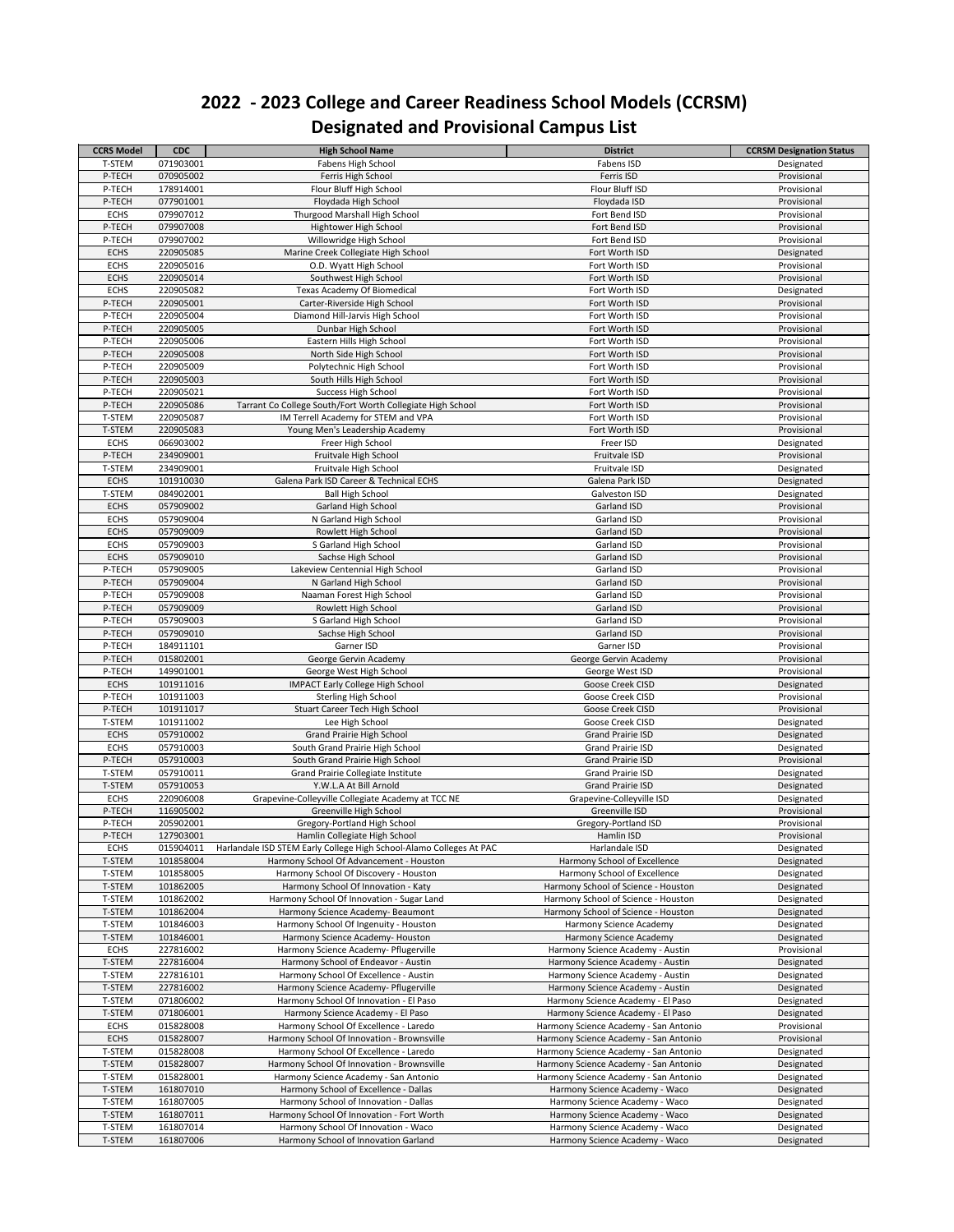| <b>CCRS Model</b>          | <b>CDC</b>             | <b>High School Name</b>                                             | <b>District</b>                       | <b>CCRSM Designation Status</b> |
|----------------------------|------------------------|---------------------------------------------------------------------|---------------------------------------|---------------------------------|
| T-STEM                     | 071903001              | Fabens High School                                                  | Fabens ISD                            | Designated                      |
| P-TECH                     | 070905002              | Ferris High School                                                  | Ferris ISD                            | Provisional                     |
| P-TECH                     | 178914001              | Flour Bluff High School                                             | Flour Bluff ISD                       | Provisional                     |
| P-TECH                     | 077901001              | Floydada High School                                                | Floydada ISD                          | Provisional                     |
| <b>ECHS</b>                | 079907012              | Thurgood Marshall High School                                       | Fort Bend ISD                         | Provisional                     |
| P-TECH                     | 079907008              | Hightower High School                                               | Fort Bend ISD                         | Provisional                     |
| P-TECH                     | 079907002              | Willowridge High School                                             | Fort Bend ISD                         | Provisional                     |
| <b>ECHS</b>                | 220905085              | Marine Creek Collegiate High School                                 | Fort Worth ISD                        | Designated                      |
| <b>ECHS</b>                | 220905016              | O.D. Wyatt High School                                              | Fort Worth ISD                        | Provisional                     |
| <b>ECHS</b>                | 220905014              | Southwest High School                                               | Fort Worth ISD                        | Provisional                     |
| <b>ECHS</b>                | 220905082              | <b>Texas Academy Of Biomedical</b>                                  | Fort Worth ISD                        | Designated                      |
| P-TECH                     | 220905001              | Carter-Riverside High School                                        | Fort Worth ISD                        | Provisional                     |
| P-TECH                     | 220905004              | Diamond Hill-Jarvis High School                                     | Fort Worth ISD                        | Provisional                     |
| P-TECH                     | 220905005              | Dunbar High School                                                  | Fort Worth ISD                        | Provisional                     |
| P-TECH                     | 220905006              | Eastern Hills High School                                           | Fort Worth ISD                        | Provisional                     |
| P-TECH                     | 220905008              | North Side High School                                              | Fort Worth ISD                        | Provisional                     |
| P-TECH                     | 220905009              | Polytechnic High School                                             | Fort Worth ISD                        | Provisional                     |
| P-TECH                     | 220905003              | South Hills High School                                             | Fort Worth ISD                        | Provisional                     |
| P-TECH                     | 220905021              | <b>Success High School</b>                                          | Fort Worth ISD                        | Provisional                     |
| P-TECH                     | 220905086              | Tarrant Co College South/Fort Worth Collegiate High School          | Fort Worth ISD<br>Fort Worth ISD      | Provisional                     |
| T-STEM                     | 220905087              | IM Terrell Academy for STEM and VPA                                 |                                       | Provisional                     |
| T-STEM                     | 220905083              | Young Men's Leadership Academy                                      | Fort Worth ISD                        | Provisional                     |
| <b>ECHS</b>                | 066903002              | Freer High School                                                   | Freer ISD                             | Designated                      |
| P-TECH                     | 234909001              | Fruitvale High School                                               | Fruitvale ISD<br>Fruitvale ISD        | Provisional                     |
| T-STEM<br><b>ECHS</b>      | 234909001<br>101910030 | Fruitvale High School<br>Galena Park ISD Career & Technical ECHS    |                                       | Designated                      |
|                            |                        |                                                                     | Galena Park ISD                       | Designated                      |
| T-STEM<br><b>ECHS</b>      | 084902001<br>057909002 | <b>Ball High School</b>                                             | Galveston ISD<br>Garland ISD          | Designated<br>Provisional       |
|                            |                        | <b>Garland High School</b>                                          |                                       |                                 |
| <b>ECHS</b><br><b>ECHS</b> | 057909004<br>057909009 | N Garland High School<br>Rowlett High School                        | Garland ISD<br>Garland ISD            | Provisional<br>Provisional      |
| <b>ECHS</b>                | 057909003              | S Garland High School                                               | Garland ISD                           | Provisional                     |
| <b>ECHS</b>                | 057909010              | Sachse High School                                                  | Garland ISD                           | Provisional                     |
| P-TECH                     | 057909005              | Lakeview Centennial High School                                     | Garland ISD                           | Provisional                     |
| P-TECH                     | 057909004              | N Garland High School                                               | Garland ISD                           | Provisional                     |
| P-TECH                     | 057909008              | Naaman Forest High School                                           | Garland ISD                           | Provisional                     |
| P-TECH                     | 057909009              | Rowlett High School                                                 | Garland ISD                           | Provisional                     |
| P-TECH                     | 057909003              | S Garland High School                                               | Garland ISD                           | Provisional                     |
| P-TECH                     | 057909010              | Sachse High School                                                  | Garland ISD                           | Provisional                     |
| P-TECH                     | 184911101              | Garner ISD                                                          | Garner ISD                            | Provisional                     |
| P-TECH                     | 015802001              | George Gervin Academy                                               | George Gervin Academy                 | Provisional                     |
| P-TECH                     | 149901001              | George West High School                                             | George West ISD                       | Provisional                     |
| <b>ECHS</b>                | 101911016              | <b>IMPACT Early College High School</b>                             | Goose Creek CISD                      | Designated                      |
| P-TECH                     | 101911003              | <b>Sterling High School</b>                                         | Goose Creek CISD                      | Provisional                     |
| P-TECH                     | 101911017              | <b>Stuart Career Tech High School</b>                               | Goose Creek CISD                      | Provisional                     |
| T-STEM                     | 101911002              | Lee High School                                                     | Goose Creek CISD                      | Designated                      |
| <b>ECHS</b>                | 057910002              | <b>Grand Prairie High School</b>                                    | <b>Grand Prairie ISD</b>              | Designated                      |
| <b>ECHS</b>                | 057910003              | South Grand Prairie High School                                     | <b>Grand Prairie ISD</b>              | Designated                      |
| P-TECH                     | 057910003              | South Grand Prairie High School                                     | <b>Grand Prairie ISD</b>              | Provisional                     |
| T-STEM                     | 057910011              | Grand Prairie Collegiate Institute                                  | <b>Grand Prairie ISD</b>              | Designated                      |
| T-STEM                     | 057910053              | Y.W.L.A At Bill Arnold                                              | <b>Grand Prairie ISD</b>              | Designated                      |
| <b>ECHS</b>                | 220906008              | Grapevine-Colleyville Collegiate Academy at TCC NE                  | Grapevine-Colleyville ISD             | Designated                      |
| P-TECH                     | 116905002              | Greenville High School                                              | Greenville ISD                        | Provisional                     |
| P-TECH                     | 205902001              | Gregory-Portland High School                                        | Gregory-Portland ISD                  | Provisional                     |
| P-TECH                     | 127903001              | Hamlin Collegiate High School                                       | Hamlin ISD                            | Provisional                     |
| <b>ECHS</b>                | 015904011              | Harlandale ISD STEM Early College High School-Alamo Colleges At PAC | Harlandale ISD                        | Designated                      |
| T-STEM                     | 101858004              | Harmony School Of Advancement - Houston                             | Harmony School of Excellence          | Designated                      |
| T-STEM                     | 101858005              | Harmony School Of Discovery - Houston                               | Harmony School of Excellence          | Designated                      |
| T-STEM                     | 101862005              | Harmony School Of Innovation - Katy                                 | Harmony School of Science - Houston   | Designated                      |
| T-STEM                     | 101862002              | Harmony School Of Innovation - Sugar Land                           | Harmony School of Science - Houston   | Designated                      |
| T-STEM                     | 101862004              | Harmony Science Academy- Beaumont                                   | Harmony School of Science - Houston   | Designated                      |
| T-STEM                     | 101846003              | Harmony School Of Ingenuity - Houston                               | Harmony Science Academy               | Designated                      |
| T-STEM                     | 101846001              | Harmony Science Academy- Houston                                    | <b>Harmony Science Academy</b>        | Designated                      |
| <b>ECHS</b>                | 227816002              | Harmony Science Academy- Pflugerville                               | Harmony Science Academy - Austin      | Provisional                     |
| T-STEM                     | 227816004              | Harmony School of Endeavor - Austin                                 | Harmony Science Academy - Austin      | Designated                      |
| T-STEM                     | 227816101              | Harmony School Of Excellence - Austin                               | Harmony Science Academy - Austin      | Designated                      |
| T-STEM                     | 227816002              | Harmony Science Academy- Pflugerville                               | Harmony Science Academy - Austin      | Designated                      |
| T-STEM                     | 071806002              | Harmony School Of Innovation - El Paso                              | Harmony Science Academy - El Paso     | Designated                      |
| T-STEM                     | 071806001              | Harmony Science Academy - El Paso                                   | Harmony Science Academy - El Paso     | Designated                      |
| <b>ECHS</b>                | 015828008              | Harmony School Of Excellence - Laredo                               | Harmony Science Academy - San Antonio | Provisional                     |
| <b>ECHS</b>                | 015828007              | Harmony School Of Innovation - Brownsville                          | Harmony Science Academy - San Antonio | Provisional                     |
| T-STEM                     | 015828008              | Harmony School Of Excellence - Laredo                               | Harmony Science Academy - San Antonio | Designated                      |
| T-STEM                     | 015828007              | Harmony School Of Innovation - Brownsville                          | Harmony Science Academy - San Antonio | Designated                      |
| T-STEM                     | 015828001              | Harmony Science Academy - San Antonio                               | Harmony Science Academy - San Antonio | Designated                      |
| T-STEM                     | 161807010              | Harmony School of Excellence - Dallas                               | Harmony Science Academy - Waco        | Designated                      |
| T-STEM                     | 161807005              | Harmony School of Innovation - Dallas                               | Harmony Science Academy - Waco        | Designated                      |
| T-STEM                     | 161807011              | Harmony School Of Innovation - Fort Worth                           | Harmony Science Academy - Waco        | Designated                      |
| T-STEM                     | 161807014              | Harmony School Of Innovation - Waco                                 | Harmony Science Academy - Waco        | Designated                      |
| T-STEM                     | 161807006              | Harmony School of Innovation Garland                                | Harmony Science Academy - Waco        | Designated                      |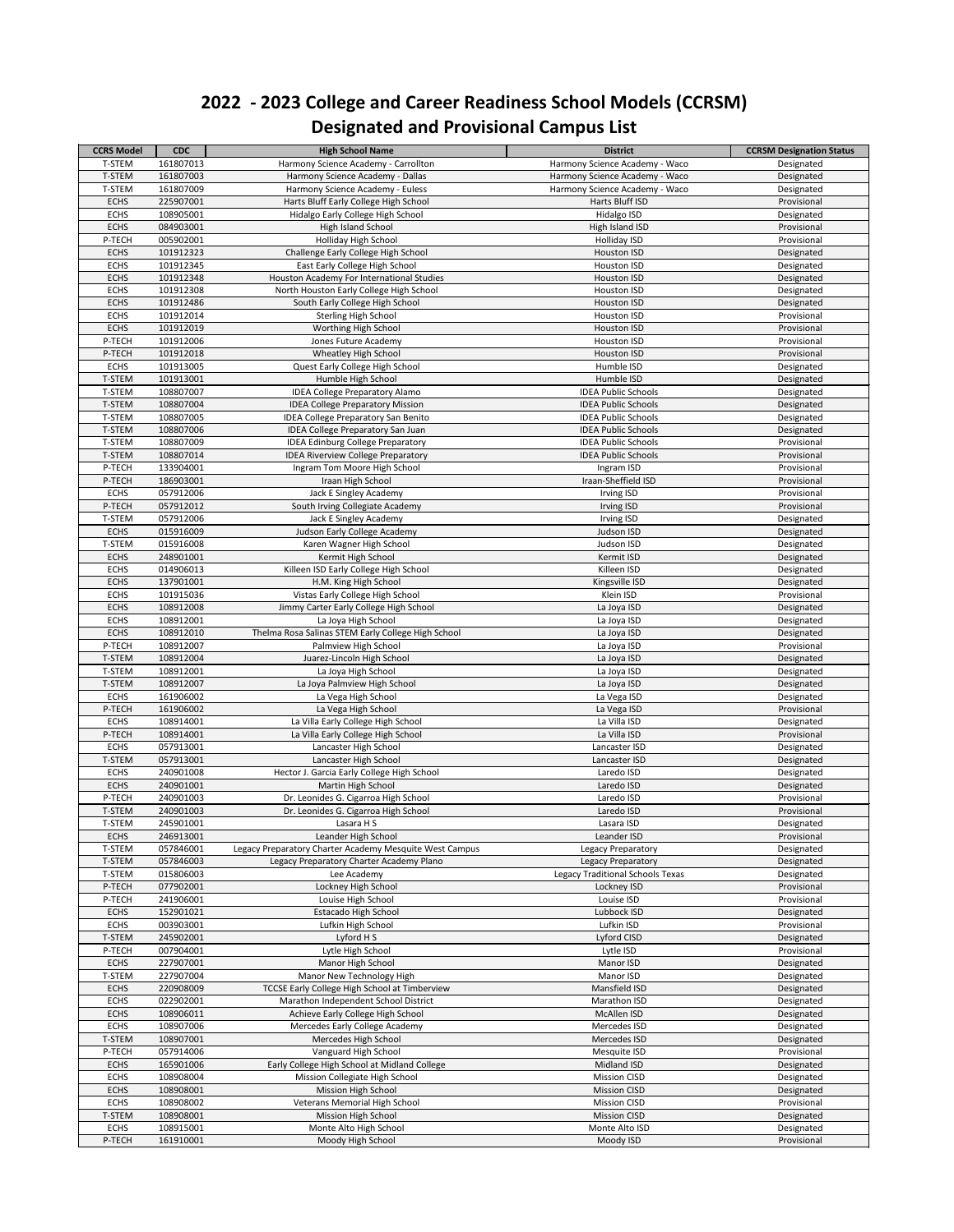| <b>CCRS Model</b>          | <b>CDC</b>             | <b>High School Name</b>                                                               | <b>District</b>                          | <b>CCRSM Designation Status</b> |
|----------------------------|------------------------|---------------------------------------------------------------------------------------|------------------------------------------|---------------------------------|
| T-STEM                     | 161807013              | Harmony Science Academy - Carrollton                                                  | Harmony Science Academy - Waco           | Designated                      |
| T-STEM                     | 161807003              | Harmony Science Academy - Dallas                                                      | Harmony Science Academy - Waco           | Designated                      |
| T-STEM                     | 161807009              | Harmony Science Academy - Euless                                                      | Harmony Science Academy - Waco           | Designated                      |
| <b>ECHS</b>                | 225907001              | Harts Bluff Early College High School                                                 | Harts Bluff ISD                          | Provisional                     |
| <b>ECHS</b>                | 108905001              | Hidalgo Early College High School                                                     | Hidalgo ISD                              | Designated                      |
| <b>ECHS</b>                | 084903001              | High Island School                                                                    | High Island ISD                          | Provisional                     |
| P-TECH                     | 005902001              | Holliday High School                                                                  | <b>Holliday ISD</b>                      | Provisional                     |
| <b>ECHS</b>                | 101912323              | Challenge Early College High School                                                   | Houston ISD                              | Designated                      |
| <b>ECHS</b>                | 101912345              | East Early College High School                                                        | Houston ISD                              | Designated                      |
| <b>ECHS</b>                | 101912348              | Houston Academy For International Studies                                             | <b>Houston ISD</b>                       | Designated                      |
| <b>ECHS</b>                | 101912308              | North Houston Early College High School                                               | Houston ISD                              | Designated                      |
| <b>ECHS</b><br><b>ECHS</b> | 101912486<br>101912014 | South Early College High School                                                       | Houston ISD<br>Houston ISD               | Designated<br>Provisional       |
|                            |                        | <b>Sterling High School</b>                                                           |                                          |                                 |
| <b>ECHS</b><br>P-TECH      | 101912019              | Worthing High School<br>Jones Future Academy                                          | Houston ISD                              | Provisional                     |
| P-TECH                     | 101912006<br>101912018 | Wheatley High School                                                                  | Houston ISD<br><b>Houston ISD</b>        | Provisional<br>Provisional      |
| <b>ECHS</b>                | 101913005              | Quest Early College High School                                                       | Humble ISD                               | Designated                      |
| T-STEM                     | 101913001              | Humble High School                                                                    | Humble ISD                               | Designated                      |
| T-STEM                     | 108807007              | <b>IDEA College Preparatory Alamo</b>                                                 | <b>IDEA Public Schools</b>               | Designated                      |
| T-STEM                     | 108807004              |                                                                                       | <b>IDEA Public Schools</b>               |                                 |
| T-STEM                     | 108807005              | <b>IDEA College Preparatory Mission</b><br><b>IDEA College Preparatory San Benito</b> | <b>IDEA Public Schools</b>               | Designated<br>Designated        |
| T-STEM                     | 108807006              | IDEA College Preparatory San Juan                                                     | <b>IDEA Public Schools</b>               | Designated                      |
| T-STEM                     | 108807009              | <b>IDEA Edinburg College Preparatory</b>                                              | <b>IDEA Public Schools</b>               | Provisional                     |
|                            |                        |                                                                                       |                                          |                                 |
| T-STEM<br>P-TECH           | 108807014<br>133904001 | <b>IDEA Riverview College Preparatory</b><br>Ingram Tom Moore High School             | <b>IDEA Public Schools</b><br>Ingram ISD | Provisional<br>Provisional      |
|                            |                        |                                                                                       |                                          |                                 |
| P-TECH                     | 186903001              | Iraan High School                                                                     | Iraan-Sheffield ISD                      | Provisional                     |
| <b>ECHS</b>                | 057912006              | Jack E Singley Academy                                                                | Irving ISD                               | Provisional                     |
| P-TECH                     | 057912012              | South Irving Collegiate Academy                                                       | Irving ISD                               | Provisional                     |
| T-STEM                     | 057912006              | Jack E Singley Academy                                                                | Irving ISD                               | Designated                      |
| <b>ECHS</b>                | 015916009              | Judson Early College Academy                                                          | Judson ISD                               | Designated                      |
| T-STEM                     | 015916008              | Karen Wagner High School                                                              | Judson ISD                               | Designated                      |
| <b>ECHS</b>                | 248901001              | Kermit High School                                                                    | Kermit ISD                               | Designated                      |
| <b>ECHS</b>                | 014906013              | Killeen ISD Early College High School                                                 | Killeen ISD                              | Designated                      |
| <b>ECHS</b>                | 137901001              | H.M. King High School                                                                 | Kingsville ISD                           | Designated                      |
| <b>ECHS</b>                | 101915036              | Vistas Early College High School                                                      | Klein ISD                                | Provisional                     |
| <b>ECHS</b>                | 108912008              | Jimmy Carter Early College High School                                                | La Joya ISD                              | Designated                      |
| <b>ECHS</b>                | 108912001              | La Joya High School                                                                   | La Joya ISD                              | Designated                      |
| <b>ECHS</b>                | 108912010              | Thelma Rosa Salinas STEM Early College High School                                    | La Joya ISD                              | Designated                      |
| P-TECH                     | 108912007              | Palmview High School                                                                  | La Joya ISD                              | Provisional                     |
| T-STEM                     | 108912004              | Juarez-Lincoln High School                                                            | La Joya ISD                              | Designated                      |
| T-STEM                     | 108912001              | La Joya High School                                                                   | La Joya ISD                              | Designated                      |
| T-STEM                     | 108912007              | La Joya Palmview High School                                                          | La Joya ISD                              | Designated                      |
| <b>ECHS</b>                | 161906002              | La Vega High School                                                                   | La Vega ISD                              | Designated                      |
| P-TECH                     | 161906002              | La Vega High School                                                                   | La Vega ISD                              | Provisional                     |
| <b>ECHS</b>                | 108914001              | La Villa Early College High School                                                    | La Villa ISD                             | Designated                      |
| P-TECH                     | 108914001              | La Villa Early College High School                                                    | La Villa ISD                             | Provisional                     |
| <b>ECHS</b>                | 057913001              | Lancaster High School                                                                 | Lancaster ISD                            | Designated                      |
| T-STEM                     | 057913001              | Lancaster High School                                                                 | Lancaster ISD                            | Designated                      |
| <b>ECHS</b>                | 240901008              | Hector J. Garcia Early College High School                                            | Laredo ISD                               | Designated                      |
| <b>ECHS</b>                | 240901001              | Martin High School<br>Dr. Leonides G. Cigarroa High School                            | Laredo ISD                               | Designated                      |
| P-TECH                     | 240901003              |                                                                                       | Laredo ISD                               | Provisional                     |
| T-STEM                     | 240901003              | Dr. Leonides G. Cigarroa High School                                                  | Laredo ISD                               | Provisional                     |
| T-STEM                     | 245901001              | Lasara H S                                                                            | Lasara ISD                               | Designated                      |
| <b>ECHS</b>                | 246913001              | Leander High School                                                                   | Leander ISD                              | Provisional                     |
| T-STEM                     | 057846001              | Legacy Preparatory Charter Academy Mesquite West Campus                               | Legacy Preparatory                       | Designated                      |
| T-STEM                     | 057846003              | Legacy Preparatory Charter Academy Plano                                              | Legacy Preparatory                       | Designated                      |
| T-STEM                     | 015806003              | Lee Academy                                                                           | <b>Legacy Traditional Schools Texas</b>  | Designated                      |
| P-TECH                     | 077902001              | Lockney High School                                                                   | Lockney ISD                              | Provisional                     |
| P-TECH                     | 241906001              | Louise High School                                                                    | Louise ISD                               | Provisional                     |
| <b>ECHS</b>                | 152901021              | <b>Estacado High School</b>                                                           | Lubbock ISD                              | Designated                      |
| <b>ECHS</b>                | 003903001              | Lufkin High School                                                                    | Lufkin ISD                               | Provisional                     |
| T-STEM                     | 245902001              | Lyford H S                                                                            | Lyford CISD                              | Designated                      |
| P-TECH                     | 007904001              | Lytle High School                                                                     | Lytle ISD                                | Provisional                     |
| <b>ECHS</b>                | 227907001              | Manor High School                                                                     | Manor ISD                                | Designated                      |
| T-STEM                     | 227907004              | Manor New Technology High                                                             | Manor ISD                                | Designated                      |
| <b>ECHS</b>                | 220908009              | TCCSE Early College High School at Timberview                                         | Mansfield ISD                            | Designated                      |
| <b>ECHS</b>                | 022902001              | Marathon Independent School District                                                  | Marathon ISD                             | Designated                      |
| <b>ECHS</b>                | 108906011              | Achieve Early College High School                                                     | McAllen ISD                              | Designated                      |
| <b>ECHS</b>                | 108907006              | Mercedes Early College Academy                                                        | Mercedes ISD                             | Designated                      |
| T-STEM                     | 108907001              | Mercedes High School                                                                  | Mercedes ISD                             | Designated                      |
| P-TECH                     | 057914006              | Vanguard High School                                                                  | Mesquite ISD                             | Provisional                     |
| <b>ECHS</b>                | 165901006              | Early College High School at Midland College                                          | Midland ISD                              | Designated                      |
| <b>ECHS</b>                | 108908004              | Mission Collegiate High School                                                        | <b>Mission CISD</b>                      | Designated                      |
| <b>ECHS</b>                | 108908001              | Mission High School                                                                   | <b>Mission CISD</b>                      | Designated                      |
| <b>ECHS</b>                | 108908002              | <b>Veterans Memorial High School</b>                                                  | <b>Mission CISD</b>                      | Provisional                     |
| T-STEM                     | 108908001              | Mission High School                                                                   | <b>Mission CISD</b>                      | Designated                      |
| <b>ECHS</b>                | 108915001              | Monte Alto High School                                                                | Monte Alto ISD                           | Designated                      |
| P-TECH                     | 161910001              | Moody High School                                                                     | Moody ISD                                | Provisional                     |
|                            |                        |                                                                                       |                                          |                                 |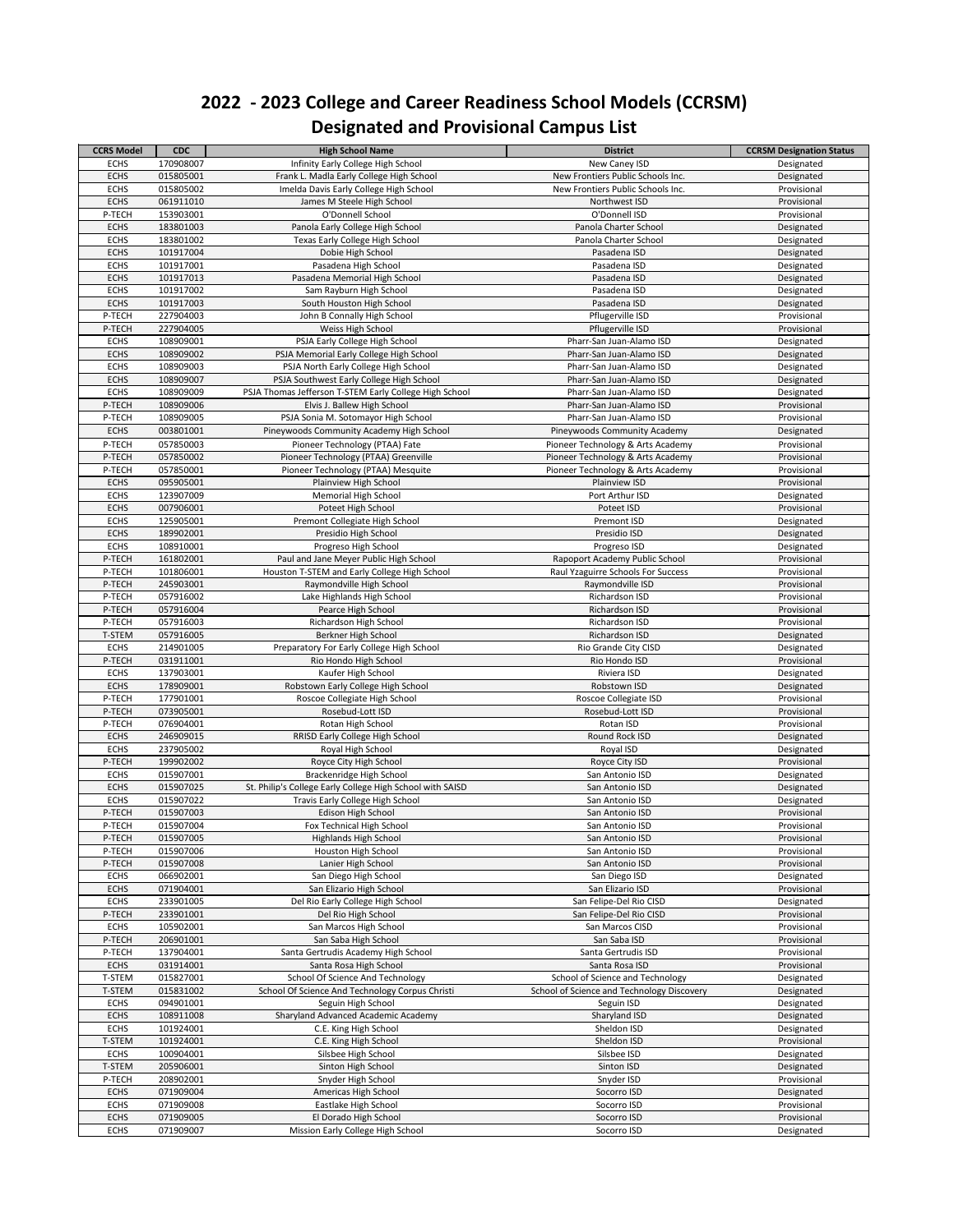| <b>CCRS Model</b>          | <b>CDC</b>             | <b>High School Name</b>                                                                       | <b>District</b>                            | <b>CCRSM Designation Status</b> |
|----------------------------|------------------------|-----------------------------------------------------------------------------------------------|--------------------------------------------|---------------------------------|
| <b>ECHS</b>                | 170908007              | Infinity Early College High School                                                            | New Caney ISD                              | Designated                      |
| <b>ECHS</b>                | 015805001              | Frank L. Madla Early College High School                                                      | New Frontiers Public Schools Inc.          | Designated                      |
| <b>ECHS</b>                | 015805002              | Imelda Davis Early College High School                                                        | New Frontiers Public Schools Inc.          | Provisional                     |
| <b>ECHS</b>                | 061911010              | James M Steele High School                                                                    | Northwest ISD                              | Provisional                     |
| P-TECH                     | 153903001              | O'Donnell School                                                                              | O'Donnell ISD                              | Provisional                     |
| <b>ECHS</b>                | 183801003              | Panola Early College High School                                                              | Panola Charter School                      | Designated                      |
| <b>ECHS</b>                | 183801002              | Texas Early College High School                                                               | Panola Charter School                      | Designated                      |
| <b>ECHS</b>                | 101917004              | Dobie High School                                                                             | Pasadena ISD                               | Designated                      |
| <b>ECHS</b>                | 101917001              | Pasadena High School                                                                          | Pasadena ISD                               | Designated                      |
| <b>ECHS</b>                | 101917013              | Pasadena Memorial High School                                                                 | Pasadena ISD                               | Designated                      |
| <b>ECHS</b>                | 101917002              | Sam Rayburn High School                                                                       | Pasadena ISD                               | Designated                      |
| <b>ECHS</b>                | 101917003              | South Houston High School                                                                     | Pasadena ISD                               | Designated                      |
| P-TECH                     | 227904003              | John B Connally High School                                                                   | Pflugerville ISD                           | Provisional                     |
| P-TECH                     | 227904005              | Weiss High School                                                                             | Pflugerville ISD                           | Provisional                     |
| <b>ECHS</b>                | 108909001              | PSJA Early College High School                                                                | Pharr-San Juan-Alamo ISD                   | Designated                      |
| <b>ECHS</b>                | 108909002              | PSJA Memorial Early College High School                                                       | Pharr-San Juan-Alamo ISD                   | Designated                      |
| <b>ECHS</b>                | 108909003              | PSJA North Early College High School                                                          | Pharr-San Juan-Alamo ISD                   | Designated                      |
| <b>ECHS</b>                | 108909007              | PSJA Southwest Early College High School                                                      | Pharr-San Juan-Alamo ISD                   | Designated                      |
| <b>ECHS</b>                | 108909009              | PSJA Thomas Jefferson T-STEM Early College High School                                        | Pharr-San Juan-Alamo ISD                   | Designated                      |
| P-TECH                     | 108909006              | Elvis J. Ballew High School                                                                   | Pharr-San Juan-Alamo ISD                   | Provisional                     |
| P-TECH                     | 108909005              | PSJA Sonia M. Sotomayor High School                                                           | Pharr-San Juan-Alamo ISD                   | Provisional                     |
| <b>ECHS</b>                | 003801001              | Pineywoods Community Academy High School                                                      | Pineywoods Community Academy               | Designated                      |
| P-TECH                     | 057850003              | Pioneer Technology (PTAA) Fate                                                                | Pioneer Technology & Arts Academy          | Provisional                     |
| P-TECH                     | 057850002              | Pioneer Technology (PTAA) Greenville                                                          | Pioneer Technology & Arts Academy          | Provisional                     |
| P-TECH                     | 057850001              | Pioneer Technology (PTAA) Mesquite                                                            | Pioneer Technology & Arts Academy          | Provisional                     |
| <b>ECHS</b>                | 095905001              | Plainview High School                                                                         | Plainview ISD                              | Provisional                     |
| <b>ECHS</b>                | 123907009              | <b>Memorial High School</b>                                                                   | Port Arthur ISD                            | Designated                      |
| <b>ECHS</b>                | 007906001              | Poteet High School                                                                            | Poteet ISD                                 | Provisional                     |
| <b>ECHS</b>                | 125905001              | Premont Collegiate High School                                                                | Premont ISD                                | Designated                      |
| <b>ECHS</b>                | 189902001              | Presidio High School                                                                          | Presidio ISD                               | Designated                      |
| <b>ECHS</b>                | 108910001              | Progreso High School                                                                          | Progreso ISD                               | Designated                      |
| P-TECH                     | 161802001              | Paul and Jane Meyer Public High School                                                        | Rapoport Academy Public School             | Provisional                     |
| P-TECH                     | 101806001              | Houston T-STEM and Early College High School                                                  | Raul Yzaguirre Schools For Success         | Provisional                     |
| P-TECH                     | 245903001              | Raymondville High School                                                                      | Raymondville ISD                           | Provisional                     |
| P-TECH                     | 057916002              | Lake Highlands High School                                                                    | Richardson ISD                             | Provisional                     |
| P-TECH                     | 057916004              | Pearce High School                                                                            | Richardson ISD                             | Provisional                     |
| P-TECH                     | 057916003              | Richardson High School                                                                        | Richardson ISD                             | Provisional                     |
| T-STEM                     | 057916005              | Berkner High School                                                                           | Richardson ISD                             | Designated                      |
| <b>ECHS</b>                | 214901005              | Preparatory For Early College High School                                                     | Rio Grande City CISD                       | Designated                      |
| P-TECH                     | 031911001              | Rio Hondo High School                                                                         | Rio Hondo ISD                              | Provisional                     |
| <b>ECHS</b>                | 137903001              | Kaufer High School                                                                            | Riviera ISD                                | Designated                      |
| <b>ECHS</b>                | 178909001              | Robstown Early College High School                                                            | Robstown ISD                               | Designated                      |
| P-TECH                     | 177901001              | Roscoe Collegiate High School                                                                 | Roscoe Collegiate ISD                      | Provisional                     |
| P-TECH                     | 073905001              | Rosebud-Lott ISD                                                                              | Rosebud-Lott ISD                           | Provisional                     |
| P-TECH                     | 076904001              | Rotan High School                                                                             | Rotan ISD                                  | Provisional                     |
| <b>ECHS</b>                | 246909015              | RRISD Early College High School                                                               | Round Rock ISD                             | Designated                      |
| <b>ECHS</b>                | 237905002              | Royal High School                                                                             | Royal ISD                                  | Designated                      |
| P-TECH                     | 199902002              | Royce City High School                                                                        | Royce City ISD                             | Provisional                     |
| <b>ECHS</b>                | 015907001              | Brackenridge High School                                                                      | San Antonio ISD                            | Designated                      |
| <b>ECHS</b><br><b>ECHS</b> | 015907025<br>015907022 | St. Philip's College Early College High School with SAISD<br>Travis Early College High School | San Antonio ISD<br>San Antonio ISD         | Designated<br>Designated        |
| P-TECH                     | 015907003              |                                                                                               | San Antonio ISD                            | Provisional                     |
|                            |                        | Edison High School                                                                            |                                            |                                 |
| P-TECH<br>P-TECH           | 015907004<br>015907005 | Fox Technical High School<br>Highlands High School                                            | San Antonio ISD<br>San Antonio ISD         | Provisional<br>Provisional      |
| P-TECH                     | 015907006              | Houston High School                                                                           | San Antonio ISD                            | Provisional                     |
| P-TECH                     | 015907008              | Lanier High School                                                                            | San Antonio ISD                            | Provisional                     |
| <b>ECHS</b>                | 066902001              | San Diego High School                                                                         | San Diego ISD                              | Designated                      |
| <b>ECHS</b>                | 071904001              | San Elizario High School                                                                      | San Elizario ISD                           | Provisional                     |
| <b>ECHS</b>                | 233901005              | Del Rio Early College High School                                                             | San Felipe-Del Rio CISD                    | Designated                      |
| P-TECH                     | 233901001              | Del Rio High School                                                                           | San Felipe-Del Rio CISD                    | Provisional                     |
| <b>ECHS</b>                | 105902001              | San Marcos High School                                                                        | San Marcos CISD                            | Provisional                     |
| P-TECH                     | 206901001              | San Saba High School                                                                          | San Saba ISD                               | Provisional                     |
| P-TECH                     | 137904001              | Santa Gertrudis Academy High School                                                           | Santa Gertrudis ISD                        | Provisional                     |
| <b>ECHS</b>                | 031914001              | Santa Rosa High School                                                                        | Santa Rosa ISD                             | Provisional                     |
| T-STEM                     | 015827001              | School Of Science And Technology                                                              | School of Science and Technology           | Designated                      |
| T-STEM                     | 015831002              | School Of Science And Technology Corpus Christi                                               | School of Science and Technology Discovery | Designated                      |
| <b>ECHS</b>                | 094901001              | Seguin High School                                                                            | Seguin ISD                                 | Designated                      |
| <b>ECHS</b>                | 108911008              | Sharyland Advanced Academic Academy                                                           | Sharyland ISD                              | Designated                      |
| <b>ECHS</b>                | 101924001              | C.E. King High School                                                                         | Sheldon ISD                                | Designated                      |
| T-STEM                     | 101924001              | C.E. King High School                                                                         | Sheldon ISD                                | Provisional                     |
| <b>ECHS</b>                | 100904001              | Silsbee High School                                                                           | Silsbee ISD                                | Designated                      |
| T-STEM                     | 205906001              | Sinton High School                                                                            | Sinton ISD                                 | Designated                      |
| P-TECH                     | 208902001              | Snyder High School                                                                            | Snyder ISD                                 | Provisional                     |
| <b>ECHS</b>                | 071909004              | Americas High School                                                                          | Socorro ISD                                | Designated                      |
| <b>ECHS</b>                | 071909008              | Eastlake High School                                                                          | Socorro ISD                                | Provisional                     |
| <b>ECHS</b>                | 071909005              | El Dorado High School                                                                         | Socorro ISD                                | Provisional                     |
| <b>ECHS</b>                | 071909007              | Mission Early College High School                                                             | Socorro ISD                                | Designated                      |